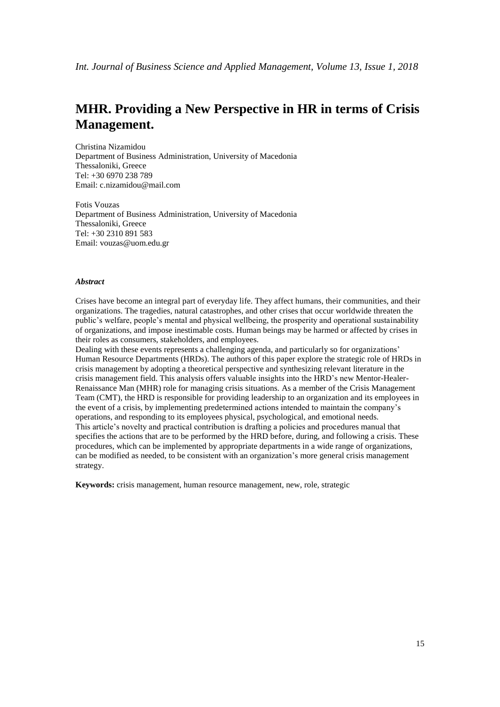# **MHR. Providing a New Perspective in HR in terms of Crisis Management.**

Christina Nizamidou Department of Business Administration, University of Macedonia Thessaloniki, Greece Tel: +30 6970 238 789 Email: c.nizamidou@mail.com

Fotis Vouzas Department of Business Administration, University of Macedonia Thessaloniki, Greece Tel: +30 2310 891 583 Email: vouzas@uom.edu.gr

## *Abstract*

Crises have become an integral part of everyday life. They affect humans, their communities, and their organizations. The tragedies, natural catastrophes, and other crises that occur worldwide threaten the public's welfare, people's mental and physical wellbeing, the prosperity and operational sustainability of organizations, and impose inestimable costs. Human beings may be harmed or affected by crises in their roles as consumers, stakeholders, and employees.

Dealing with these events represents a challenging agenda, and particularly so for organizations' Human Resource Departments (HRDs). The authors of this paper explore the strategic role of HRDs in crisis management by adopting a theoretical perspective and synthesizing relevant literature in the crisis management field. This analysis offers valuable insights into the HRD's new Mentor-Healer-Renaissance Man (MHR) role for managing crisis situations. As a member of the Crisis Management Team (CMT), the HRD is responsible for providing leadership to an organization and its employees in the event of a crisis, by implementing predetermined actions intended to maintain the company's operations, and responding to its employees physical, psychological, and emotional needs. This article's novelty and practical contribution is drafting a policies and procedures manual that specifies the actions that are to be performed by the HRD before, during, and following a crisis. These procedures, which can be implemented by appropriate departments in a wide range of organizations, can be modified as needed, to be consistent with an organization's more general crisis management strategy.

**Keywords:** crisis management, human resource management, new, role, strategic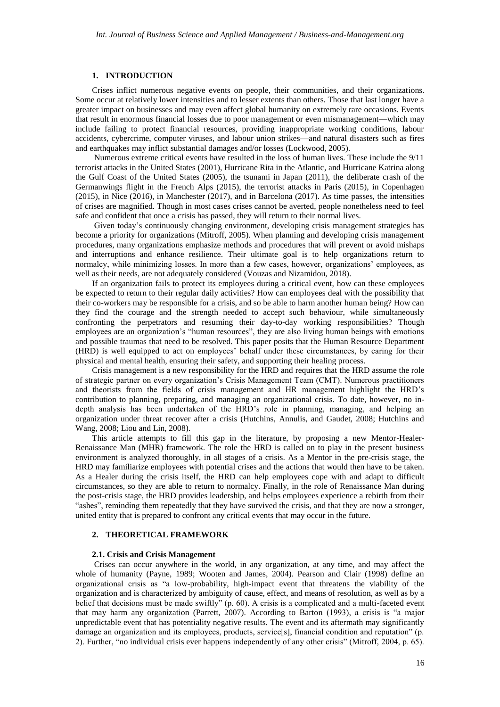## **1. INTRODUCTION**

Crises inflict numerous negative events on people, their communities, and their organizations. Some occur at relatively lower intensities and to lesser extents than others. Those that last longer have a greater impact on businesses and may even affect global humanity on extremely rare occasions. Events that result in enormous financial losses due to poor management or even mismanagement—which may include failing to protect financial resources, providing inappropriate working conditions, labour accidents, cybercrime, computer viruses, and labour union strikes—and natural disasters such as fires and earthquakes may inflict substantial damages and/or losses (Lockwood, 2005).

Numerous extreme critical events have resulted in the loss of human lives. These include the 9/11 terrorist attacks in the United States (2001), Hurricane Rita in the Atlantic, and Hurricane Katrina along the Gulf Coast of the United States (2005), the tsunami in Japan (2011), the deliberate crash of the Germanwings flight in the French Alps (2015), the terrorist attacks in Paris (2015), in Copenhagen (2015), in Nice (2016), in Manchester (2017), and in Barcelona (2017). As time passes, the intensities of crises are magnified. Though in most cases crises cannot be averted, people nonetheless need to feel safe and confident that once a crisis has passed, they will return to their normal lives.

Given today's continuously changing environment, developing crisis management strategies has become a priority for organizations (Mitroff, 2005). When planning and developing crisis management procedures, many organizations emphasize methods and procedures that will prevent or avoid mishaps and interruptions and enhance resilience. Their ultimate goal is to help organizations return to normalcy, while minimizing losses. In more than a few cases, however, organizations' employees, as well as their needs, are not adequately considered (Vouzas and Nizamidou, 2018).

If an organization fails to protect its employees during a critical event, how can these employees be expected to return to their regular daily activities? How can employees deal with the possibility that their co-workers may be responsible for a crisis, and so be able to harm another human being? How can they find the courage and the strength needed to accept such behaviour, while simultaneously confronting the perpetrators and resuming their day-to-day working responsibilities? Though employees are an organization's "human resources", they are also living human beings with emotions and possible traumas that need to be resolved. This paper posits that the Human Resource Department (HRD) is well equipped to act on employees' behalf under these circumstances, by caring for their physical and mental health, ensuring their safety, and supporting their healing process.

Crisis management is a new responsibility for the HRD and requires that the HRD assume the role of strategic partner on every organization's Crisis Management Team (CMT). Numerous practitioners and theorists from the fields of crisis management and HR management highlight the HRD's contribution to planning, preparing, and managing an organizational crisis. To date, however, no indepth analysis has been undertaken of the HRD's role in planning, managing, and helping an organization under threat recover after a crisis (Hutchins, Annulis, and Gaudet, 2008; Hutchins and Wang, 2008; Liou and Lin, 2008).

This article attempts to fill this gap in the literature, by proposing a new Mentor-Healer-Renaissance Man (MHR) framework. The role the HRD is called on to play in the present business environment is analyzed thoroughly, in all stages of a crisis. As a Mentor in the pre-crisis stage, the HRD may familiarize employees with potential crises and the actions that would then have to be taken. As a Healer during the crisis itself, the HRD can help employees cope with and adapt to difficult circumstances, so they are able to return to normalcy. Finally, in the role of Renaissance Man during the post-crisis stage, the HRD provides leadership, and helps employees experience a rebirth from their "ashes", reminding them repeatedly that they have survived the crisis, and that they are now a stronger, united entity that is prepared to confront any critical events that may occur in the future.

#### **2. THEORETICAL FRAMEWORK**

#### **2.1. Crisis and Crisis Management**

Crises can occur anywhere in the world, in any organization, at any time, and may affect the whole of humanity (Payne, 1989; Wooten and James, 2004). Pearson and Clair (1998) define an organizational crisis as "a low-probability, high-impact event that threatens the viability of the organization and is characterized by ambiguity of cause, effect, and means of resolution, as well as by a belief that decisions must be made swiftly" (p. 60). A crisis is a complicated and a multi-faceted event that may harm any organization (Parrett, 2007). According to Barton (1993), a crisis is "a major unpredictable event that has potentiality negative results. The event and its aftermath may significantly damage an organization and its employees, products, service[s], financial condition and reputation" (p. 2). Further, "no individual crisis ever happens independently of any other crisis" (Mitroff, 2004, p. 65).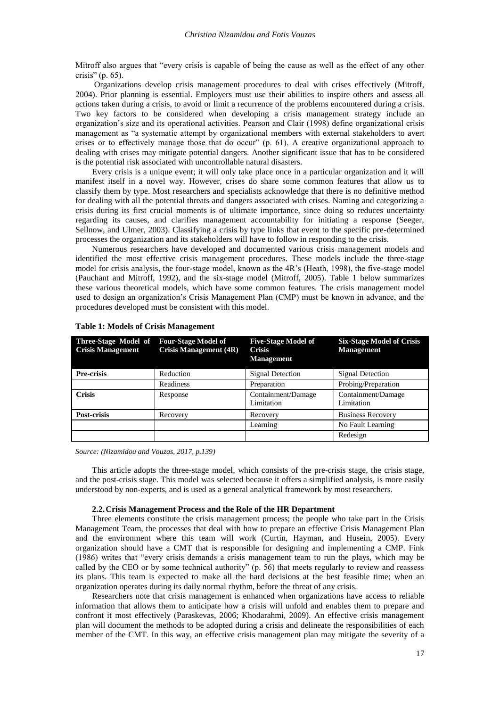Mitroff also argues that "every crisis is capable of being the cause as well as the effect of any other crisis" (p. 65).

Organizations develop crisis management procedures to deal with crises effectively (Mitroff, 2004). Prior planning is essential. Employers must use their abilities to inspire others and assess all actions taken during a crisis, to avoid or limit a recurrence of the problems encountered during a crisis. Two key factors to be considered when developing a crisis management strategy include an organization's size and its operational activities. Pearson and Clair (1998) define organizational crisis management as "a systematic attempt by organizational members with external stakeholders to avert crises or to effectively manage those that do occur" (p. 61). A creative organizational approach to dealing with crises may mitigate potential dangers. Another significant issue that has to be considered is the potential risk associated with uncontrollable natural disasters.

Every crisis is a unique event; it will only take place once in a particular organization and it will manifest itself in a novel way. However, crises do share some common features that allow us to classify them by type. Most researchers and specialists acknowledge that there is no definitive method for dealing with all the potential threats and dangers associated with crises. Naming and categorizing a crisis during its first crucial moments is of ultimate importance, since doing so reduces uncertainty regarding its causes, and clarifies management accountability for initiating a response (Seeger, Sellnow, and Ulmer, 2003). Classifying a crisis by type links that event to the specific pre-determined processes the organization and its stakeholders will have to follow in responding to the crisis.

Numerous researchers have developed and documented various crisis management models and identified the most effective crisis management procedures. These models include the three-stage model for crisis analysis, the four-stage model, known as the 4R's (Heath, 1998), the five-stage model (Pauchant and Mitroff, 1992), and the six-stage model (Mitroff, 2005). Table 1 below summarizes these various theoretical models, which have some common features. The crisis management model used to design an organization's Crisis Management Plan (CMP) must be known in advance, and the procedures developed must be consistent with this model.

| Three-Stage Model of<br><b>Crisis Management</b> | <b>Four-Stage Model of</b><br><b>Crisis Management (4R)</b> | <b>Five-Stage Model of</b><br><b>Crisis</b><br><b>Management</b> | <b>Six-Stage Model of Crisis</b><br><b>Management</b> |
|--------------------------------------------------|-------------------------------------------------------------|------------------------------------------------------------------|-------------------------------------------------------|
| <b>Pre-crisis</b>                                | Reduction                                                   | Signal Detection                                                 | Signal Detection                                      |
|                                                  | Readiness                                                   | Preparation                                                      | Probing/Preparation                                   |
| <b>Crisis</b>                                    | Response                                                    | Containment/Damage<br>Limitation                                 | Containment/Damage<br>Limitation                      |
| Post-crisis                                      | Recovery                                                    | Recovery                                                         | <b>Business Recovery</b>                              |
|                                                  |                                                             | Learning                                                         | No Fault Learning                                     |
|                                                  |                                                             |                                                                  | Redesign                                              |

*Source: (Nizamidou and Vouzas, 2017, p.139)*

This article adopts the three-stage model, which consists of the pre-crisis stage, the crisis stage, and the post-crisis stage. This model was selected because it offers a simplified analysis, is more easily understood by non-experts, and is used as a general analytical framework by most researchers.

## **2.2.Crisis Management Process and the Role of the HR Department**

Three elements constitute the crisis management process; the people who take part in the Crisis Management Team, the processes that deal with how to prepare an effective Crisis Management Plan and the environment where this team will work (Curtin, Hayman, and Husein, 2005). Every organization should have a CMT that is responsible for designing and implementing a CMP. Fink (1986) writes that "every crisis demands a crisis management team to run the plays, which may be called by the CEO or by some technical authority" (p. 56) that meets regularly to review and reassess its plans. This team is expected to make all the hard decisions at the best feasible time; when an organization operates during its daily normal rhythm, before the threat of any crisis.

Researchers note that crisis management is enhanced when organizations have access to reliable information that allows them to anticipate how a crisis will unfold and enables them to prepare and confront it most effectively (Paraskevas, 2006; Khodarahmi, 2009). An effective crisis management plan will document the methods to be adopted during a crisis and delineate the responsibilities of each member of the CMT. In this way, an effective crisis management plan may mitigate the severity of a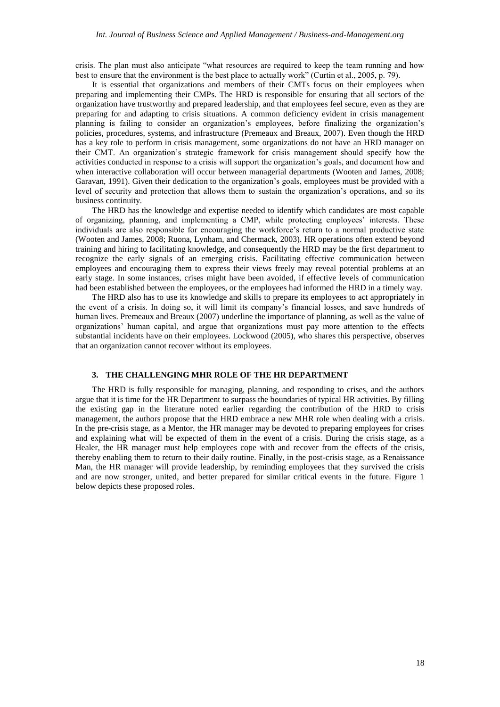crisis. The plan must also anticipate "what resources are required to keep the team running and how best to ensure that the environment is the best place to actually work" (Curtin et al., 2005, p. 79).

It is essential that organizations and members of their CMTs focus on their employees when preparing and implementing their CMPs. The HRD is responsible for ensuring that all sectors of the organization have trustworthy and prepared leadership, and that employees feel secure, even as they are preparing for and adapting to crisis situations. A common deficiency evident in crisis management planning is failing to consider an organization's employees, before finalizing the organization's policies, procedures, systems, and infrastructure (Premeaux and Breaux, 2007). Even though the HRD has a key role to perform in crisis management, some organizations do not have an HRD manager on their CMT. An organization's strategic framework for crisis management should specify how the activities conducted in response to a crisis will support the organization's goals, and document how and when interactive collaboration will occur between managerial departments (Wooten and James, 2008; Garavan, 1991). Given their dedication to the organization's goals, employees must be provided with a level of security and protection that allows them to sustain the organization's operations, and so its business continuity.

The HRD has the knowledge and expertise needed to identify which candidates are most capable of organizing, planning, and implementing a CMP, while protecting employees' interests. These individuals are also responsible for encouraging the workforce's return to a normal productive state (Wooten and James, 2008; Ruona, Lynham, and Chermack, 2003). HR operations often extend beyond training and hiring to facilitating knowledge, and consequently the HRD may be the first department to recognize the early signals of an emerging crisis. Facilitating effective communication between employees and encouraging them to express their views freely may reveal potential problems at an early stage. In some instances, crises might have been avoided, if effective levels of communication had been established between the employees, or the employees had informed the HRD in a timely way.

The HRD also has to use its knowledge and skills to prepare its employees to act appropriately in the event of a crisis. In doing so, it will limit its company's financial losses, and save hundreds of human lives. Premeaux and Breaux (2007) underline the importance of planning, as well as the value of organizations' human capital, and argue that organizations must pay more attention to the effects substantial incidents have on their employees. Lockwood (2005), who shares this perspective, observes that an organization cannot recover without its employees.

## **3. THE CHALLENGING MHR ROLE OF THE HR DEPARTMENT**

The HRD is fully responsible for managing, planning, and responding to crises, and the authors argue that it is time for the HR Department to surpass the boundaries of typical HR activities. By filling the existing gap in the literature noted earlier regarding the contribution of the HRD to crisis management, the authors propose that the HRD embrace a new MHR role when dealing with a crisis. In the pre-crisis stage, as a Mentor, the HR manager may be devoted to preparing employees for crises and explaining what will be expected of them in the event of a crisis. During the crisis stage, as a Healer, the HR manager must help employees cope with and recover from the effects of the crisis, thereby enabling them to return to their daily routine. Finally, in the post-crisis stage, as a Renaissance Man, the HR manager will provide leadership, by reminding employees that they survived the crisis and are now stronger, united, and better prepared for similar critical events in the future. Figure 1 below depicts these proposed roles.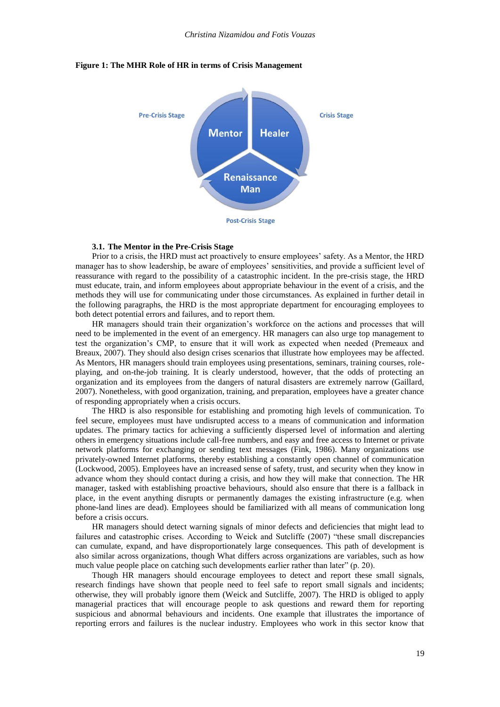

#### **Figure 1: The MHR Role of HR in terms of Crisis Management**

#### **3.1. The Mentor in the Pre-Crisis Stage**

Prior to a crisis, the HRD must act proactively to ensure employees' safety. As a Mentor, the HRD manager has to show leadership, be aware of employees' sensitivities, and provide a sufficient level of reassurance with regard to the possibility of a catastrophic incident. In the pre-crisis stage, the HRD must educate, train, and inform employees about appropriate behaviour in the event of a crisis, and the methods they will use for communicating under those circumstances. As explained in further detail in the following paragraphs, the HRD is the most appropriate department for encouraging employees to both detect potential errors and failures, and to report them.

HR managers should train their organization's workforce on the actions and processes that will need to be implemented in the event of an emergency. HR managers can also urge top management to test the organization's CMP, to ensure that it will work as expected when needed (Premeaux and Breaux, 2007). They should also design crises scenarios that illustrate how employees may be affected. As Mentors, HR managers should train employees using presentations, seminars, training courses, roleplaying, and on-the-job training. It is clearly understood, however, that the odds of protecting an organization and its employees from the dangers of natural disasters are extremely narrow (Gaillard, 2007). Nonetheless, with good organization, training, and preparation, employees have a greater chance of responding appropriately when a crisis occurs.

The HRD is also responsible for establishing and promoting high levels of communication. To feel secure, employees must have undisrupted access to a means of communication and information updates. The primary tactics for achieving a sufficiently dispersed level of information and alerting others in emergency situations include call-free numbers, and easy and free access to Internet or private network platforms for exchanging or sending text messages (Fink, 1986). Many organizations use privately-owned Internet platforms, thereby establishing a constantly open channel of communication (Lockwood, 2005). Employees have an increased sense of safety, trust, and security when they know in advance whom they should contact during a crisis, and how they will make that connection. The HR manager, tasked with establishing proactive behaviours, should also ensure that there is a fallback in place, in the event anything disrupts or permanently damages the existing infrastructure (e.g. when phone-land lines are dead). Employees should be familiarized with all means of communication long before a crisis occurs.

HR managers should detect warning signals of minor defects and deficiencies that might lead to failures and catastrophic crises. According to Weick and Sutcliffe (2007) "these small discrepancies can cumulate, expand, and have disproportionately large consequences. This path of development is also similar across organizations, though What differs across organizations are variables, such as how much value people place on catching such developments earlier rather than later" (p. 20).

Though HR managers should encourage employees to detect and report these small signals, research findings have shown that people need to feel safe to report small signals and incidents; otherwise, they will probably ignore them (Weick and Sutcliffe, 2007). The HRD is obliged to apply managerial practices that will encourage people to ask questions and reward them for reporting suspicious and abnormal behaviours and incidents. One example that illustrates the importance of reporting errors and failures is the nuclear industry. Employees who work in this sector know that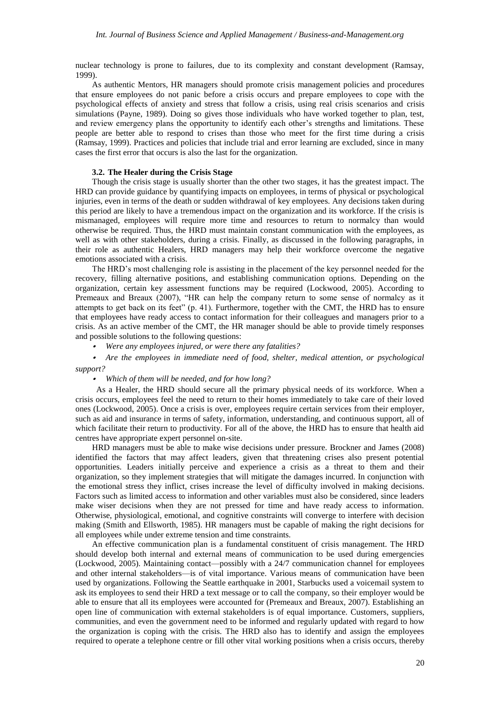nuclear technology is prone to failures, due to its complexity and constant development (Ramsay, 1999).

As authentic Mentors, HR managers should promote crisis management policies and procedures that ensure employees do not panic before a crisis occurs and prepare employees to cope with the psychological effects of anxiety and stress that follow a crisis, using real crisis scenarios and crisis simulations (Payne, 1989). Doing so gives those individuals who have worked together to plan, test, and review emergency plans the opportunity to identify each other's strengths and limitations. These people are better able to respond to crises than those who meet for the first time during a crisis (Ramsay, 1999). Practices and policies that include trial and error learning are excluded, since in many cases the first error that occurs is also the last for the organization.

## **3.2. The Healer during the Crisis Stage**

Though the crisis stage is usually shorter than the other two stages, it has the greatest impact. The HRD can provide guidance by quantifying impacts on employees, in terms of physical or psychological injuries, even in terms of the death or sudden withdrawal of key employees. Any decisions taken during this period are likely to have a tremendous impact on the organization and its workforce. If the crisis is mismanaged, employees will require more time and resources to return to normalcy than would otherwise be required. Thus, the HRD must maintain constant communication with the employees, as well as with other stakeholders, during a crisis. Finally, as discussed in the following paragraphs, in their role as authentic Healers, HRD managers may help their workforce overcome the negative emotions associated with a crisis.

The HRD's most challenging role is assisting in the placement of the key personnel needed for the recovery, filling alternative positions, and establishing communication options. Depending on the organization, certain key assessment functions may be required (Lockwood, 2005). According to Premeaux and Breaux (2007), "HR can help the company return to some sense of normalcy as it attempts to get back on its feet" (p. 41). Furthermore, together with the CMT, the HRD has to ensure that employees have ready access to contact information for their colleagues and managers prior to a crisis. As an active member of the CMT, the HR manager should be able to provide timely responses and possible solutions to the following questions:

• *Were any employees injured, or were there any fatalities?*

• *Are the employees in immediate need of food, shelter, medical attention, or psychological support?*

• *Which of them will be needed, and for how long?*

 As a Healer, the HRD should secure all the primary physical needs of its workforce. When a crisis occurs, employees feel the need to return to their homes immediately to take care of their loved ones (Lockwood, 2005). Once a crisis is over, employees require certain services from their employer, such as aid and insurance in terms of safety, information, understanding, and continuous support, all of which facilitate their return to productivity. For all of the above, the HRD has to ensure that health aid centres have appropriate expert personnel on-site.

HRD managers must be able to make wise decisions under pressure. Brockner and James (2008) identified the factors that may affect leaders, given that threatening crises also present potential opportunities. Leaders initially perceive and experience a crisis as a threat to them and their organization, so they implement strategies that will mitigate the damages incurred. In conjunction with the emotional stress they inflict, crises increase the level of difficulty involved in making decisions. Factors such as limited access to information and other variables must also be considered, since leaders make wiser decisions when they are not pressed for time and have ready access to information. Otherwise, physiological, emotional, and cognitive constraints will converge to interfere with decision making (Smith and Ellsworth, 1985). HR managers must be capable of making the right decisions for all employees while under extreme tension and time constraints.

An effective communication plan is a fundamental constituent of crisis management. The HRD should develop both internal and external means of communication to be used during emergencies (Lockwood, 2005). Maintaining contact—possibly with a 24/7 communication channel for employees and other internal stakeholders—is of vital importance. Various means of communication have been used by organizations. Following the Seattle earthquake in 2001, Starbucks used a voicemail system to ask its employees to send their HRD a text message or to call the company, so their employer would be able to ensure that all its employees were accounted for (Premeaux and Breaux, 2007). Establishing an open line of communication with external stakeholders is of equal importance. Customers, suppliers, communities, and even the government need to be informed and regularly updated with regard to how the organization is coping with the crisis. The HRD also has to identify and assign the employees required to operate a telephone centre or fill other vital working positions when a crisis occurs, thereby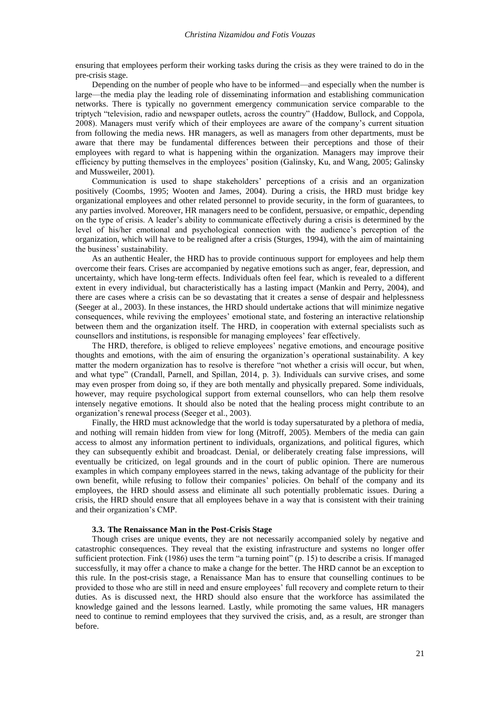ensuring that employees perform their working tasks during the crisis as they were trained to do in the pre-crisis stage.

Depending on the number of people who have to be informed—and especially when the number is large—the media play the leading role of disseminating information and establishing communication networks. There is typically no government emergency communication service comparable to the triptych "television, radio and newspaper outlets, across the country" (Haddow, Bullock, and Coppola, 2008). Managers must verify which of their employees are aware of the company's current situation from following the media news. HR managers, as well as managers from other departments, must be aware that there may be fundamental differences between their perceptions and those of their employees with regard to what is happening within the organization. Managers may improve their efficiency by putting themselves in the employees' position (Galinsky, Ku, and Wang, 2005; Galinsky and Mussweiler, 2001).

Communication is used to shape stakeholders' perceptions of a crisis and an organization positively (Coombs, 1995; Wooten and James, 2004). During a crisis, the HRD must bridge key organizational employees and other related personnel to provide security, in the form of guarantees, to any parties involved. Moreover, HR managers need to be confident, persuasive, or empathic, depending on the type of crisis. A leader's ability to communicate effectively during a crisis is determined by the level of his/her emotional and psychological connection with the audience's perception of the organization, which will have to be realigned after a crisis (Sturges, 1994), with the aim of maintaining the business' sustainability.

As an authentic Healer, the HRD has to provide continuous support for employees and help them overcome their fears. Crises are accompanied by negative emotions such as anger, fear, depression, and uncertainty, which have long-term effects. Individuals often feel fear, which is revealed to a different extent in every individual, but characteristically has a lasting impact (Mankin and Perry, 2004), and there are cases where a crisis can be so devastating that it creates a sense of despair and helplessness (Seeger at al., 2003). In these instances, the HRD should undertake actions that will minimize negative consequences, while reviving the employees' emotional state, and fostering an interactive relationship between them and the organization itself. The HRD, in cooperation with external specialists such as counsellors and institutions, is responsible for managing employees' fear effectively.

The HRD, therefore, is obliged to relieve employees' negative emotions, and encourage positive thoughts and emotions, with the aim of ensuring the organization's operational sustainability. A key matter the modern organization has to resolve is therefore "not whether a crisis will occur, but when, and what type" (Crandall, Parnell, and Spillan, 2014, p. 3). Individuals can survive crises, and some may even prosper from doing so, if they are both mentally and physically prepared. Some individuals, however, may require psychological support from external counsellors, who can help them resolve intensely negative emotions. It should also be noted that the healing process might contribute to an organization's renewal process (Seeger et al., 2003).

Finally, the HRD must acknowledge that the world is today supersaturated by a plethora of media, and nothing will remain hidden from view for long (Mitroff, 2005). Members of the media can gain access to almost any information pertinent to individuals, organizations, and political figures, which they can subsequently exhibit and broadcast. Denial, or deliberately creating false impressions, will eventually be criticized, on legal grounds and in the court of public opinion. There are numerous examples in which company employees starred in the news, taking advantage of the publicity for their own benefit, while refusing to follow their companies' policies. On behalf of the company and its employees, the HRD should assess and eliminate all such potentially problematic issues. During a crisis, the HRD should ensure that all employees behave in a way that is consistent with their training and their organization's CMP.

#### **3.3. The Renaissance Man in the Post-Crisis Stage**

Though crises are unique events, they are not necessarily accompanied solely by negative and catastrophic consequences. They reveal that the existing infrastructure and systems no longer offer sufficient protection. Fink (1986) uses the term "a turning point" (p. 15) to describe a crisis. If managed successfully, it may offer a chance to make a change for the better. The HRD cannot be an exception to this rule. In the post-crisis stage, a Renaissance Man has to ensure that counselling continues to be provided to those who are still in need and ensure employees' full recovery and complete return to their duties. As is discussed next, the HRD should also ensure that the workforce has assimilated the knowledge gained and the lessons learned. Lastly, while promoting the same values, HR managers need to continue to remind employees that they survived the crisis, and, as a result, are stronger than before.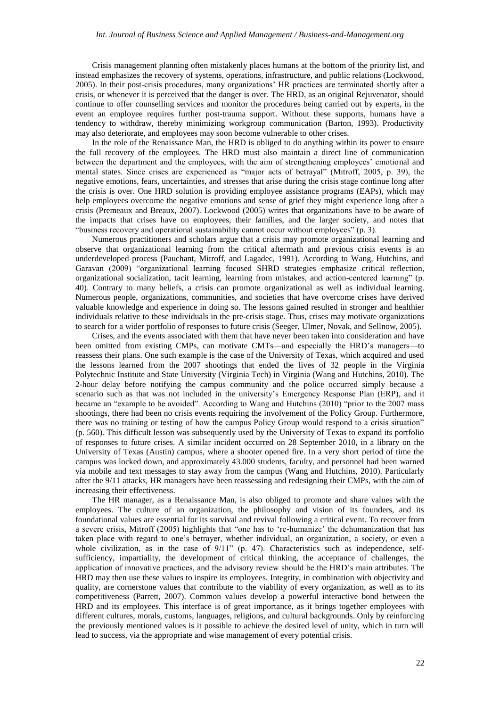#### *Int. Journal of Business Science and Applied Management / Business-and-Management.org*

Crisis management planning often mistakenly places humans at the bottom of the priority list, and instead emphasizes the recovery of systems, operations, infrastructure, and public relations (Lockwood, 2005). In their post-crisis procedures, many organizations' HR practices are terminated shortly after a crisis, or whenever it is perceived that the danger is over. The HRD, as an original Rejuvenator, should continue to offer counselling services and monitor the procedures being carried out by experts, in the event an employee requires further post-trauma support. Without these supports, humans have a tendency to withdraw, thereby minimizing workgroup communication (Barton, 1993). Productivity may also deteriorate, and employees may soon become vulnerable to other crises.

In the role of the Renaissance Man, the HRD is obliged to do anything within its power to ensure the full recovery of the employees. The HRD must also maintain a direct line of communication between the department and the employees, with the aim of strengthening employees' emotional and mental states. Since crises are experienced as "major acts of betrayal" (Mitroff, 2005, p. 39), the negative emotions, fears, uncertainties, and stresses that arise during the crisis stage continue long after the crisis is over. One HRD solution is providing employee assistance programs (EAPs), which may help employees overcome the negative emotions and sense of grief they might experience long after a crisis (Premeaux and Breaux, 2007). Lockwood (2005) writes that organizations have to be aware of the impacts that crises have on employees, their families, and the larger society, and notes that "business recovery and operational sustainability cannot occur without employees" (p. 3).

Numerous practitioners and scholars argue that a crisis may promote organizational learning and observe that organizational learning from the critical aftermath and previous crisis events is an underdeveloped process (Pauchant, Mitroff, and Lagadec, 1991). According to Wang, Hutchins, and Garavan (2009) "organizational learning focused SHRD strategies emphasize critical reflection, organizational socialization, tacit learning, learning from mistakes, and action-centered learning" (p. 40). Contrary to many beliefs, a crisis can promote organizational as well as individual learning. Numerous people, organizations, communities, and societies that have overcome crises have derived valuable knowledge and experience in doing so. The lessons gained resulted in stronger and healthier individuals relative to these individuals in the pre-crisis stage. Thus, crises may motivate organizations to search for a wider portfolio of responses to future crisis (Seeger, Ulmer, Novak, and Sellnow, 2005).

Crises, and the events associated with them that have never been taken into consideration and have been omitted from existing CMPs, can motivate CMTs—and especially the HRD's managers—to reassess their plans. One such example is the case of the University of Texas, which acquired and used the lessons learned from the 2007 shootings that ended the lives of 32 people in the Virginia Polytechnic Institute and State University (Virginia Tech) in Virginia (Wang and Hutchins, 2010). The 2-hour delay before notifying the campus community and the police occurred simply because a scenario such as that was not included in the university's Emergency Response Plan (ERP), and it became an "example to be avoided". According to Wang and Hutchins (2010) "prior to the 2007 mass shootings, there had been no crisis events requiring the involvement of the Policy Group. Furthermore, there was no training or testing of how the campus Policy Group would respond to a crisis situation" (p. 560). This difficult lesson was subsequently used by the University of Texas to expand its portfolio of responses to future crises. A similar incident occurred on 28 September 2010, in a library on the University of Texas (Austin) campus, where a shooter opened fire. In a very short period of time the campus was locked down, and approximately 43.000 students, faculty, and personnel had been warned via mobile and text messages to stay away from the campus (Wang and Hutchins, 2010). Particularly after the 9/11 attacks, HR managers have been reassessing and redesigning their CMPs, with the aim of increasing their effectiveness.

The HR manager, as a Renaissance Man, is also obliged to promote and share values with the employees. The culture of an organization, the philosophy and vision of its founders, and its foundational values are essential for its survival and revival following a critical event. To recover from a severe crisis, Mitroff (2005) highlights that "one has to 're-humanize' the dehumanization that has taken place with regard to one's betrayer, whether individual, an organization, a society, or even a whole civilization, as in the case of  $9/11$ " (p. 47). Characteristics such as independence, selfsufficiency, impartiality, the development of critical thinking, the acceptance of challenges, the application of innovative practices, and the advisory review should be the HRD's main attributes. The HRD may then use these values to inspire its employees. Integrity, in combination with objectivity and quality, are cornerstone values that contribute to the viability of every organization, as well as to its competitiveness (Parrett, 2007). Common values develop a powerful interactive bond between the HRD and its employees. This interface is of great importance, as it brings together employees with different cultures, morals, customs, languages, religions, and cultural backgrounds. Only by reinforcing the previously mentioned values is it possible to achieve the desired level of unity, which in turn will lead to success, via the appropriate and wise management of every potential crisis.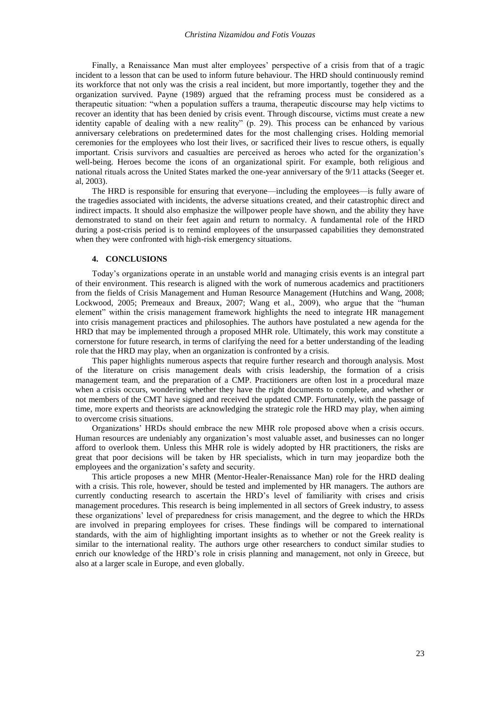Finally, a Renaissance Man must alter employees' perspective of a crisis from that of a tragic incident to a lesson that can be used to inform future behaviour. The HRD should continuously remind its workforce that not only was the crisis a real incident, but more importantly, together they and the organization survived. Payne (1989) argued that the reframing process must be considered as a therapeutic situation: "when a population suffers a trauma, therapeutic discourse may help victims to recover an identity that has been denied by crisis event. Through discourse, victims must create a new identity capable of dealing with a new reality" (p. 29). This process can be enhanced by various anniversary celebrations on predetermined dates for the most challenging crises. Holding memorial ceremonies for the employees who lost their lives, or sacrificed their lives to rescue others, is equally important. Crisis survivors and casualties are perceived as heroes who acted for the organization's well-being. Heroes become the icons of an organizational spirit. For example, both religious and national rituals across the United States marked the one-year anniversary of the 9/11 attacks (Seeger et. al, 2003).

The HRD is responsible for ensuring that everyone—including the employees—is fully aware of the tragedies associated with incidents, the adverse situations created, and their catastrophic direct and indirect impacts. It should also emphasize the willpower people have shown, and the ability they have demonstrated to stand on their feet again and return to normalcy. A fundamental role of the HRD during a post-crisis period is to remind employees of the unsurpassed capabilities they demonstrated when they were confronted with high-risk emergency situations.

## **4. CONCLUSIONS**

Today's organizations operate in an unstable world and managing crisis events is an integral part of their environment. This research is aligned with the work of numerous academics and practitioners from the fields of Crisis Management and Human Resource Management (Hutchins and Wang, 2008; Lockwood, 2005; Premeaux and Breaux, 2007; Wang et al., 2009), who argue that the "human element" within the crisis management framework highlights the need to integrate HR management into crisis management practices and philosophies. The authors have postulated a new agenda for the HRD that may be implemented through a proposed MHR role. Ultimately, this work may constitute a cornerstone for future research, in terms of clarifying the need for a better understanding of the leading role that the HRD may play, when an organization is confronted by a crisis.

This paper highlights numerous aspects that require further research and thorough analysis. Most of the literature on crisis management deals with crisis leadership, the formation of a crisis management team, and the preparation of a CMP. Practitioners are often lost in a procedural maze when a crisis occurs, wondering whether they have the right documents to complete, and whether or not members of the CMT have signed and received the updated CMP. Fortunately, with the passage of time, more experts and theorists are acknowledging the strategic role the HRD may play, when aiming to overcome crisis situations.

Organizations' HRDs should embrace the new MHR role proposed above when a crisis occurs. Human resources are undeniably any organization's most valuable asset, and businesses can no longer afford to overlook them. Unless this MHR role is widely adopted by HR practitioners, the risks are great that poor decisions will be taken by HR specialists, which in turn may jeopardize both the employees and the organization's safety and security.

This article proposes a new MHR (Mentor-Healer-Renaissance Man) role for the HRD dealing with a crisis. This role, however, should be tested and implemented by HR managers. The authors are currently conducting research to ascertain the HRD's level of familiarity with crises and crisis management procedures. This research is being implemented in all sectors of Greek industry, to assess these organizations' level of preparedness for crisis management, and the degree to which the HRDs are involved in preparing employees for crises. These findings will be compared to international standards, with the aim of highlighting important insights as to whether or not the Greek reality is similar to the international reality. The authors urge other researchers to conduct similar studies to enrich our knowledge of the HRD's role in crisis planning and management, not only in Greece, but also at a larger scale in Europe, and even globally.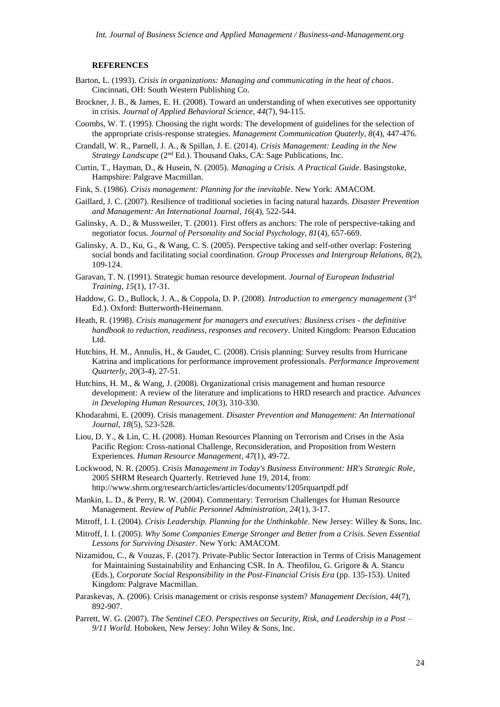#### **REFERENCES**

- Barton, L. (1993). *Crisis in organizations: Managing and communicating in the heat of chaos*. Cincinnati, OH: South Western Publishing Co.
- Brockner, J. B., & James, E. H. (2008). Toward an understanding of when executives see opportunity in crisis. *Journal of Applied Behavioral Science, 44*(7), 94-115.
- Coombs, W. T. (1995). Choosing the right words: The development of guidelines for the selection of the appropriate crisis-response strategies. *Management Communication Quaterly, 8*(4), 447-476.
- Crandall, W. R., Parnell, J. A., & Spillan, J. E. (2014). *Crisis Management: Leading in the New Strategy Landscape* (2<sup>nd</sup> Ed.). Thousand Oaks, CA: Sage Publications, Inc.
- Curtin, T., Hayman, D., & Husein, N. (2005). *Managing a Crisis. A Practical Guide*. Basingstoke, Hampshire: Palgrave Macmillan.
- Fink, S. (1986). *Crisis management: Planning for the inevitable*. New York: AMACOM.
- Gaillard, J. C. (2007). Resilience of traditional societies in facing natural hazards. *Disaster Prevention and Management: An International Journal*, *16*(4), 522-544.
- Galinsky, A. D., & Mussweiler, T. (2001). First offers as anchors: The role of perspective-taking and negotiator focus. *Journal of Personality and Social Psychology, 81*(4), 657-669.
- Galinsky, A. D., Ku, G., & Wang, C. S. (2005). Perspective taking and self-other overlap: Fostering social bonds and facilitating social coordination. *Group Processes and Intergroup Relations, 8*(2), 109-124.
- Garavan, T. N. (1991). Strategic human resource development. *Journal of European Industrial Training, 15*(1), 17-31.
- Haddow, G. D., Bullock, J. A., & Coppola, D. P. (2008). *Introduction to emergency management* (3rd Ed.). Oxford: Butterworth-Heinemann.
- Heath, R. (1998). *Crisis management for managers and executives: Business crises - the definitive handbook to reduction, readiness, responses and recovery*. United Kingdom: Pearson Education Ltd.
- Hutchins, H. M., Annulis, H., & Gaudet, C. (2008). Crisis planning: Survey results from Hurricane Katrina and implications for performance improvement professionals. *Performance Improvement Quarterly, 20*(3-4), 27-51.
- Hutchins, H. M., & Wang, J. (2008). Organizational crisis management and human resource development: A review of the literature and implications to HRD research and practice. *Advances in Developing Human Resources, 10*(3), 310-330.
- Khodarahmi, E. (2009). Crisis management. *Disaster Prevention and Management: An International Journal, 18*(5), 523-528.
- Liou, D. Y., & Lin, C. H. (2008). Human Resources Planning on Terrorism and Crises in the Asia Pacific Region: Cross-national Challenge, Reconsideration, and Proposition from Western Experiences. *Human Resource Management*, *47*(1), 49-72.
- Lockwood, N. R. (2005). *Crisis Management in Today's Business Environment: HR's Strategic Role*, 2005 SHRM Research Quarterly. Retrieved June 19, 2014, from: http://www.shrm.org/research/articles/articles/documents/1205rquartpdf.pdf
- Mankin, L. D., & Perry, R. W. (2004). Commentary: Terrorism Challenges for Human Resource Management. *Review of Public Personnel Administration, 24*(1), 3-17.
- Mitroff, I. I. (2004). *Crisis Leadership. Planning for the Unthinkable*. New Jersey: Willey & Sons, Inc.
- Mitroff, I. I. (2005). *Why Some Companies Emerge Stronger and Better from a Crisis. Seven Essential Lessons for Surviving Disaster*. New York: AMACOM.
- Nizamidou, C., & Vouzas, F. (2017). Private-Public Sector Interaction in Terms of Crisis Management for Maintaining Sustainability and Enhancing CSR. In A. Theofilou, G. Grigore & A. Stancu (Eds.), *Corporate Social Responsibility in the Post-Financial Crisis Era* (pp. 135-153). United Kingdom: Palgrave Macmillan.
- Paraskevas, A. (2006). Crisis management or crisis response system? *Management Decision, 44*(7), 892-907.
- Parrett, W. G. (2007). *The Sentinel CEO. Perspectives on Security, Risk, and Leadership in a Post – 9/11 World*. Hoboken, New Jersey: John Wiley & Sons, Inc.